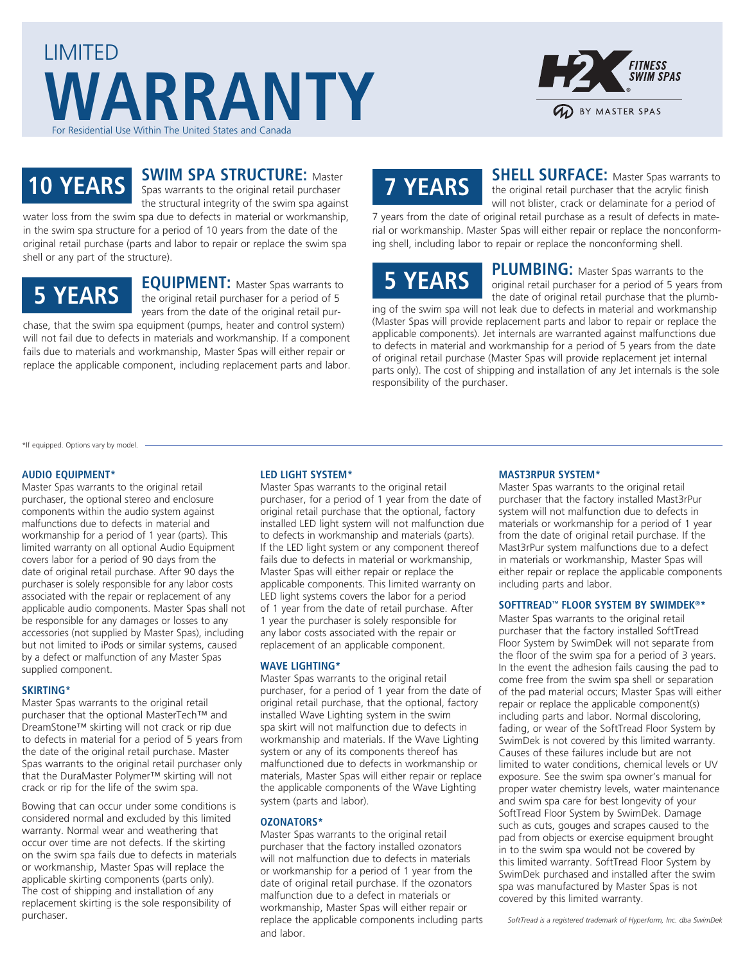



### **SWIM SPA STRUCTURE:** Master **10 YEARS** Spas warrants to the original retail purchaser

the structural integrity of the swim spa against water loss from the swim spa due to defects in material or workmanship,

in the swim spa structure for a period of 10 years from the date of the original retail purchase (parts and labor to repair or replace the swim spa shell or any part of the structure).

### **5 YEARS**

**EQUIPMENT:** Master Spas warrants to the original retail purchaser for a period of 5 years from the date of the original retail pur-

chase, that the swim spa equipment (pumps, heater and control system) will not fail due to defects in materials and workmanship. If a component fails due to materials and workmanship, Master Spas will either repair or replace the applicable component, including replacement parts and labor.

# **7 YEARS**

**SHELL SURFACE:** Master Spas warrants to the original retail purchaser that the acrylic finish will not blister, crack or delaminate for a period of

7 years from the date of original retail purchase as a result of defects in material or workmanship. Master Spas will either repair or replace the nonconforming shell, including labor to repair or replace the nonconforming shell.

## **5 YEARS**

**PLUMBING:** Master Spas warrants to the original retail purchaser for a period of 5 years from the date of original retail purchase that the plumb-

ing of the swim spa will not leak due to defects in material and workmanship (Master Spas will provide replacement parts and labor to repair or replace the applicable components). Jet internals are warranted against malfunctions due to defects in material and workmanship for a period of 5 years from the date of original retail purchase (Master Spas will provide replacement jet internal parts only). The cost of shipping and installation of any Jet internals is the sole responsibility of the purchaser.

\*If equipped. Options vary by model.

#### **AUDIO EQUIPMENT\***

Master Spas warrants to the original retail purchaser, the optional stereo and enclosure components within the audio system against malfunctions due to defects in material and workmanship for a period of 1 year (parts). This limited warranty on all optional Audio Equipment covers labor for a period of 90 days from the date of original retail purchase. After 90 days the purchaser is solely responsible for any labor costs associated with the repair or replacement of any applicable audio components. Master Spas shall not be responsible for any damages or losses to any accessories (not supplied by Master Spas), including but not limited to iPods or similar systems, caused by a defect or malfunction of any Master Spas supplied component.

#### **SKIRTING\***

Master Spas warrants to the original retail purchaser that the optional MasterTech™ and DreamStone™ skirting will not crack or rip due to defects in material for a period of 5 years from the date of the original retail purchase. Master Spas warrants to the original retail purchaser only that the DuraMaster Polymer™ skirting will not crack or rip for the life of the swim spa.

Bowing that can occur under some conditions is considered normal and excluded by this limited warranty. Normal wear and weathering that occur over time are not defects. If the skirting on the swim spa fails due to defects in materials or workmanship, Master Spas will replace the applicable skirting components (parts only). The cost of shipping and installation of any replacement skirting is the sole responsibility of purchaser.

#### **LED LIGHT SYSTEM\***

Master Spas warrants to the original retail purchaser, for a period of 1 year from the date of original retail purchase that the optional, factory installed LED light system will not malfunction due to defects in workmanship and materials (parts). If the LED light system or any component thereof fails due to defects in material or workmanship, Master Spas will either repair or replace the applicable components. This limited warranty on LED light systems covers the labor for a period of 1 year from the date of retail purchase. After 1 year the purchaser is solely responsible for any labor costs associated with the repair or replacement of an applicable component.

#### **WAVE LIGHTING\***

Master Spas warrants to the original retail purchaser, for a period of 1 year from the date of original retail purchase, that the optional, factory installed Wave Lighting system in the swim spa skirt will not malfunction due to defects in workmanship and materials. If the Wave Lighting system or any of its components thereof has malfunctioned due to defects in workmanship or materials, Master Spas will either repair or replace the applicable components of the Wave Lighting system (parts and labor).

#### **OZONATORS\***

Master Spas warrants to the original retail purchaser that the factory installed ozonators will not malfunction due to defects in materials or workmanship for a period of 1 year from the date of original retail purchase. If the ozonators malfunction due to a defect in materials or workmanship, Master Spas will either repair or replace the applicable components including parts and labor.

#### **MAST3RPUR SYSTEM\***

Master Spas warrants to the original retail purchaser that the factory installed Mast3rPur system will not malfunction due to defects in materials or workmanship for a period of 1 year from the date of original retail purchase. If the Mast3rPur system malfunctions due to a defect in materials or workmanship, Master Spas will either repair or replace the applicable components including parts and labor.

#### **SOFTTREAD™ FLOOR SYSTEM BY SWIMDEK®\***

Master Spas warrants to the original retail purchaser that the factory installed SoftTread Floor System by SwimDek will not separate from the floor of the swim spa for a period of 3 years. In the event the adhesion fails causing the pad to come free from the swim spa shell or separation of the pad material occurs; Master Spas will either repair or replace the applicable component(s) including parts and labor. Normal discoloring, fading, or wear of the SoftTread Floor System by SwimDek is not covered by this limited warranty. Causes of these failures include but are not limited to water conditions, chemical levels or UV exposure. See the swim spa owner's manual for proper water chemistry levels, water maintenance and swim spa care for best longevity of your SoftTread Floor System by SwimDek. Damage such as cuts, gouges and scrapes caused to the pad from objects or exercise equipment brought in to the swim spa would not be covered by this limited warranty. SoftTread Floor System by SwimDek purchased and installed after the swim spa was manufactured by Master Spas is not covered by this limited warranty.

*SoftTread is a registered trademark of Hyperform, Inc. dba SwimDek*